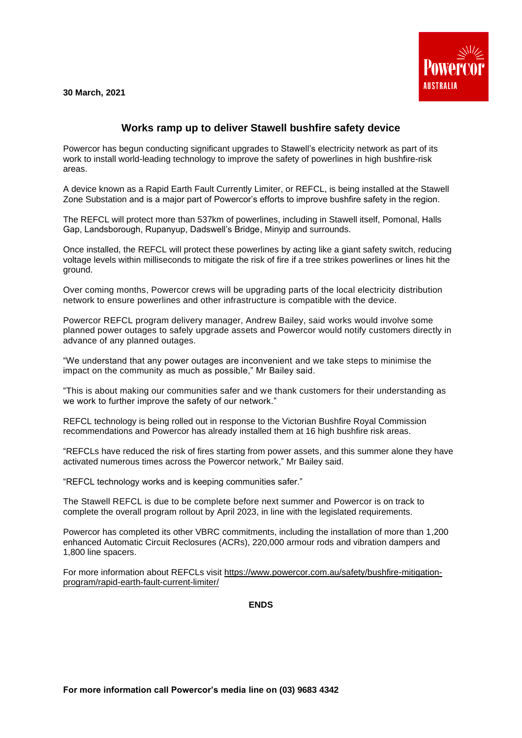**30 March, 2021**



## **Works ramp up to deliver Stawell bushfire safety device**

Powercor has begun conducting significant upgrades to Stawell's electricity network as part of its work to install world-leading technology to improve the safety of powerlines in high bushfire-risk areas.

A device known as a Rapid Earth Fault Currently Limiter, or REFCL, is being installed at the Stawell Zone Substation and is a major part of Powercor's efforts to improve bushfire safety in the region.

The REFCL will protect more than 537km of powerlines, including in Stawell itself, Pomonal, Halls Gap, Landsborough, Rupanyup, Dadswell's Bridge, Minyip and surrounds.

Once installed, the REFCL will protect these powerlines by acting like a giant safety switch, reducing voltage levels within milliseconds to mitigate the risk of fire if a tree strikes powerlines or lines hit the ground.

Over coming months, Powercor crews will be upgrading parts of the local electricity distribution network to ensure powerlines and other infrastructure is compatible with the device.

Powercor REFCL program delivery manager, Andrew Bailey, said works would involve some planned power outages to safely upgrade assets and Powercor would notify customers directly in advance of any planned outages.

"We understand that any power outages are inconvenient and we take steps to minimise the impact on the community as much as possible," Mr Bailey said.

"This is about making our communities safer and we thank customers for their understanding as we work to further improve the safety of our network."

REFCL technology is being rolled out in response to the Victorian Bushfire Royal Commission recommendations and Powercor has already installed them at 16 high bushfire risk areas.

"REFCLs have reduced the risk of fires starting from power assets, and this summer alone they have activated numerous times across the Powercor network," Mr Bailey said.

"REFCL technology works and is keeping communities safer."

The Stawell REFCL is due to be complete before next summer and Powercor is on track to complete the overall program rollout by April 2023, in line with the legislated requirements.

Powercor has completed its other VBRC commitments, including the installation of more than 1,200 enhanced Automatic Circuit Reclosures (ACRs), 220,000 armour rods and vibration dampers and 1,800 line spacers.

For more information about REFCLs visit [https://www.powercor.com.au/safety/bushfire-mitigation](https://www.powercor.com.au/safety/bushfire-mitigation-program/rapid-earth-fault-current-limiter/)[program/rapid-earth-fault-current-limiter/](https://www.powercor.com.au/safety/bushfire-mitigation-program/rapid-earth-fault-current-limiter/)

**ENDS**